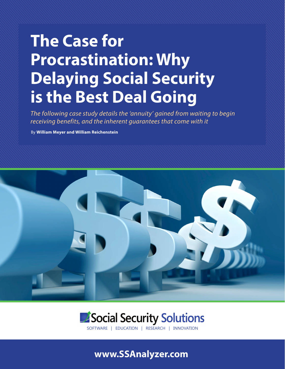# **The Case for Procrastination: Why Delaying Social Security is the Best Deal Going**

*The following case study details the 'annuity' gained from waiting to begin receiving benefits, and the inherent guarantees that come with it*

By **William Meyer and William Reichenstein**



# Social Security Solutions

SOFTWARE | EDUCATION | RESEARCH | INNOVATION

## **www.SSAnalyzer.com**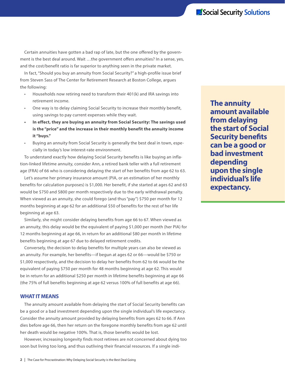Certain annuities have gotten a bad rap of late, but the one offered by the government is the best deal around. Wait …the government offers annuities? In a sense, yes, and the cost/benefit ratio is far superior to anything seen in the private market.

In fact, "Should you buy an annuity from Social Security?" a high-profile issue brief from Steven Sass of The Center for Retirement Research at Boston College, argues the following:

- Households now retiring need to transform their 401(k) and IRA savings into retirement income.
- One way is to delay claiming Social Security to increase their monthly benefit, using savings to pay current expenses while they wait.
- **• In effect, they are buying an annuity from Social Security: The savings used is the "price" and the increase in their monthly benefit the annuity income it "buys."**
- Buying an annuity from Social Security is generally the best deal in town, especially in today's low interest-rate environment.

To understand exactly how delaying Social Security benefits is like buying an inflation-linked lifetime annuity, consider Ann, a retired bank teller with a full retirement age (FRA) of 66 who is considering delaying the start of her benefits from age 62 to 63.

Let's assume her primary insurance amount (PIA, or an estimation of her monthly benefits for calculation purposes) is \$1,000. Her benefit, if she started at ages 62 and 63 would be \$750 and \$800 per month respectively due to the early withdrawal penalty. When viewed as an annuity, she could forego (and thus "pay") \$750 per month for 12 months beginning at age 62 for an additional \$50 of benefits for the rest of her life beginning at age 63.

Similarly, she might consider delaying benefits from age 66 to 67. When viewed as an annuity, this delay would be the equivalent of paying \$1,000 per month (her PIA) for 12 months beginning at age 66, in return for an additional \$80 per month in lifetime benefits beginning at age 67 due to delayed retirement credits.

Conversely, the decision to delay benefits for multiple years can also be viewed as an annuity. For example, her benefits—if begun at ages 62 or 66—would be \$750 or \$1,000 respectively, and the decision to delay her benefits from 62 to 66 would be the equivalent of paying \$750 per month for 48 months beginning at age 62. This would be in return for an additional \$250 per month in lifetime benefits beginning at age 66 (the 75% of full benefits beginning at age 62 versus 100% of full benefits at age 66).

#### **WHAT IT MEANS**

The annuity amount available from delaying the start of Social Security benefits can be a good or a bad investment depending upon the single individual's life expectancy. Consider the annuity amount provided by delaying benefits from ages 62 to 66. If Ann dies before age 66, then her return on the foregone monthly benefits from age 62 until her death would be negative 100%. That is, those benefits would be lost.

However, increasing longevity finds most retirees are not concerned about dying too soon but living too long, and thus outliving their financial resources. If a single indi**The annuity amount available from delaying the start of Social Security benefits can be a good or bad investment depending upon the single individual's life expectancy.**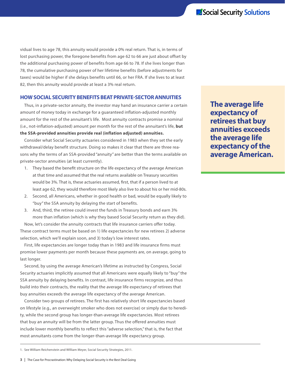vidual lives to age 78, this annuity would provide a 0% real return. That is, in terms of lost purchasing power, the foregone benefits from age 62 to 66 are just about offset by the additional purchasing power of benefits from age 66 to 78. If she lives longer than 78, the cumulative purchasing power of her lifetime benefits (before adjustments for taxes) would be higher if she delays benefits until 66, or her FRA. If she lives to at least 82, then this annuity would provide at least a 3% real return.

#### **HOW SOCIAL SECURITY BENEFITS BEAT PRIVATE-SECTOR ANNUITIES**

Thus, in a private-sector annuity, the investor may hand an insurance carrier a certain amount of money today in exchange for a guaranteed inflation-adjusted monthly amount for the rest of the annuitant's life. Most annuity contracts promise a nominal (i.e., not-inflation-adjusted) amount per month for the rest of the annuitant's life, **but the SSA-provided annuities provide real (inflation adjusted) annuities.** 

Consider what Social Security actuaries considered in 1983 when they set the early withdrawal/delay benefit structure. Doing so makes it clear that there are three reasons why the terms of an SSA-provided "annuity" are better than the terms available on private-sector annuities (at least currently).

- 1. They based the benefit structure on the life expectancy of the average American at that time and assumed that the real returns available on Treasury securities would be 3%. That is, these actuaries assumed, first, that if a person lived to at least age 62, they would therefore most likely also live to about his or her mid-80s.
- 2. Second, all Americans, whether in good health or bad, would be equally likely to "buy" the SSA annuity by delaying the start of benefits.
- 3. And, third, the retiree could invest the funds in Treasury bonds and earn 3% more than inflation (which is why they based Social Security return as they did).

Now, let's consider the annuity contracts that life insurance carriers offer today. These contract terms must be based on 1) life expectancies for new retirees 2) adverse selection, which we'll explain soon, and 3) today's low interest rates.

First, life expectancies are longer today than in 1983 and life insurance firms must promise lower payments per month because these payments are, on average, going to last longer.

Second, by using the average American's lifetime as instructed by Congress, Social Security actuaries implicitly assumed that all Americans were equally likely to "buy" the SSA annuity by delaying benefits. In contrast, life insurance firms recognize, and thus build into their contracts, the reality that the average life expectancy of retirees that buy annuities exceeds the average life expectancy of the average American.

Consider two groups of retirees. The first has relatively short life expectancies based on lifestyle (e.g., an overweight smoker who does not exercise) or simply due to heredity, while the second group has longer-than-average life expectancies. Most retirees that buy an annuity will be from the latter group. Thus the offered annuities must include lower monthly benefits to reflect this "adverse selection," that is, the fact that most annuitants come from the longer-than-average life expectancy group.

**The average life expectancy of retirees that buy annuities exceeds the average life expectancy of the average American.**

<sup>1.</sup> See William Reichenstein and WIlliam Meyer, Social Security Strategies, 2011.